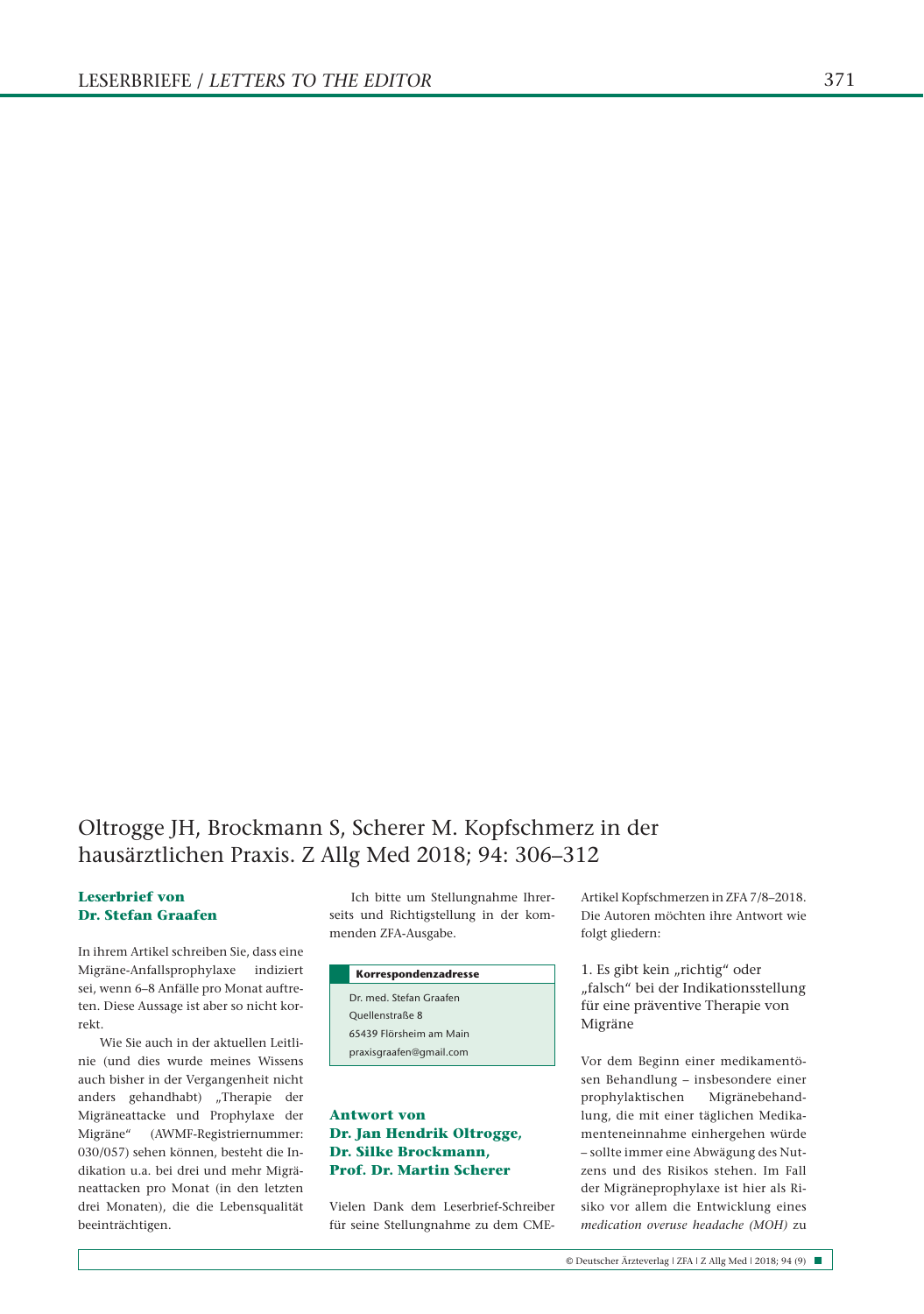# Oltrogge JH, Brockmann S, Scherer M. Kopfschmerz in der hausärztlichen Praxis. Z Allg Med 2018; 94: 306–312

#### **Leserbrief von Dr. Stefan Graafen**

In ihrem Artikel schreiben Sie, dass eine Migräne-Anfallsprophylaxe indiziert sei, wenn 6–8 Anfälle pro Monat auftreten. Diese Aussage ist aber so nicht korrekt.

Wie Sie auch in der aktuellen Leitlinie (und dies wurde meines Wissens auch bisher in der Vergangenheit nicht anders gehandhabt) "Therapie der Migräneattacke und Prophylaxe der Migräne" (AWMF-Registriernummer: 030/057) sehen können, besteht die Indikation u.a. bei drei und mehr Migräneattacken pro Monat (in den letzten drei Monaten), die die Lebensqualität beeinträchtigen.

Ich bitte um Stellungnahme Ihrerseits und Richtigstellung in der kommenden ZFA-Ausgabe.

| Korrespondenzadresse    |
|-------------------------|
| Dr. med. Stefan Graafen |
| Ouellenstraße 8         |
| 65439 Flörsheim am Main |
| praxisgraafen@gmail.com |
|                         |

## **Antwort von Dr. Jan Hendrik Oltrogge, Dr. Silke Brockmann, Prof. Dr. Martin Scherer**

Vielen Dank dem Leserbrief-Schreiber für seine Stellungnahme zu dem CME-

Artikel Kopfschmerzen in ZFA 7/8–2018. Die Autoren möchten ihre Antwort wie folgt gliedern:

1. Es gibt kein "richtig" oder "falsch" bei der Indikationsstellung für eine präventive Therapie von Migräne

Vor dem Beginn einer medikamentösen Behandlung – insbesondere einer prophylaktischen Migränebehandlung, die mit einer täglichen Medikamenteneinnahme einhergehen würde – sollte immer eine Abwägung des Nutzens und des Risikos stehen. Im Fall der Migräneprophylaxe ist hier als Risiko vor allem die Entwicklung eines *medication overuse headache (MOH)* zu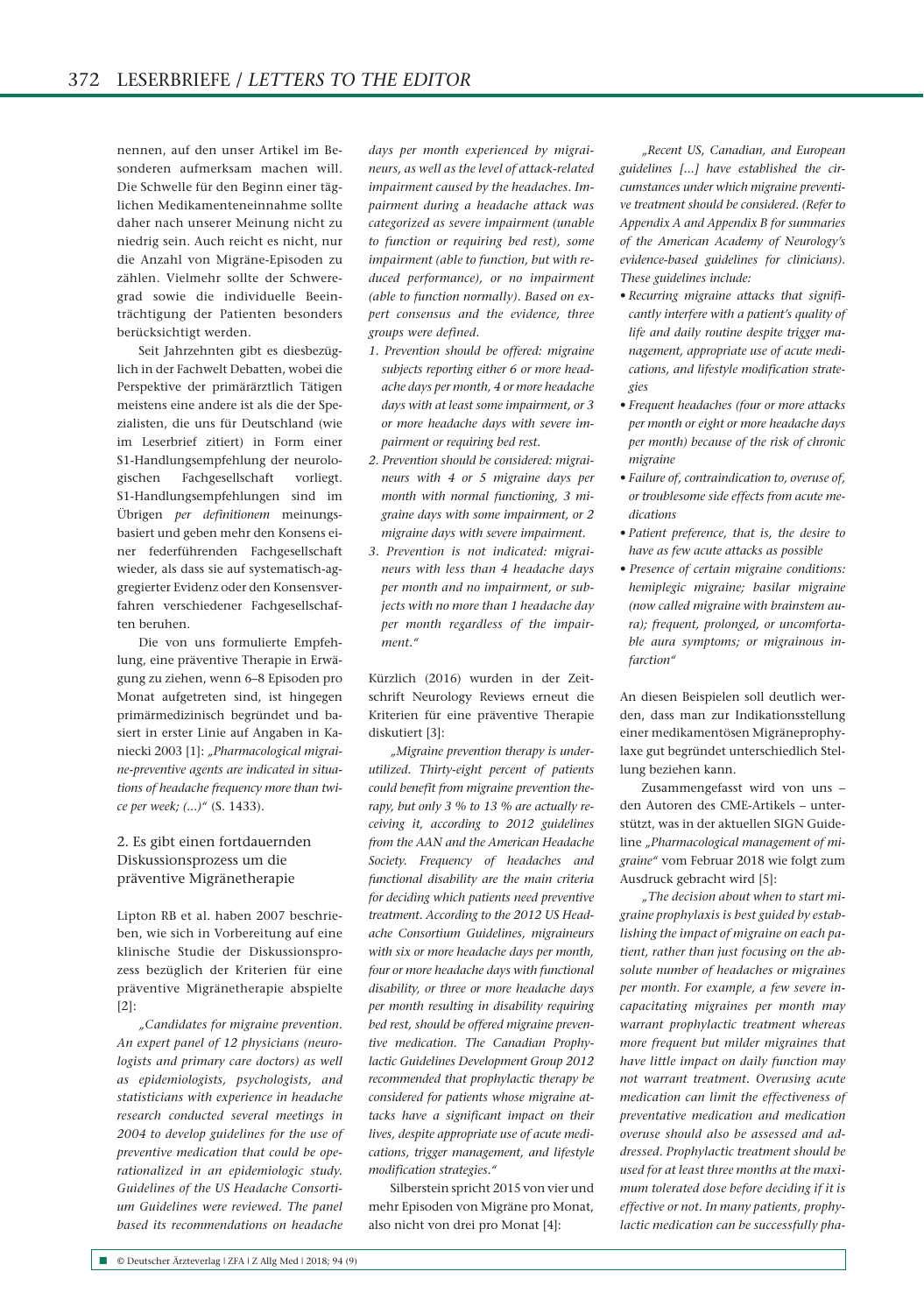nennen, auf den unser Artikel im Besonderen aufmerksam machen will. Die Schwelle für den Beginn einer täglichen Medikamenteneinnahme sollte daher nach unserer Meinung nicht zu niedrig sein. Auch reicht es nicht, nur die Anzahl von Migräne-Episoden zu zählen. Vielmehr sollte der Schweregrad sowie die individuelle Beeinträchtigung der Patienten besonders berücksichtigt werden.

Seit Jahrzehnten gibt es diesbezüglich in der Fachwelt Debatten, wobei die Perspektive der primärärztlich Tätigen meistens eine andere ist als die der Spezialisten, die uns für Deutschland (wie im Leserbrief zitiert) in Form einer S1-Handlungsempfehlung der neurologischen Fachgesellschaft vorliegt. S1-Handlungsempfehlungen sind im Übrigen *per definitionem* meinungsbasiert und geben mehr den Konsens einer federführenden Fachgesellschaft wieder, als dass sie auf systematisch-aggregierter Evidenz oder den Konsensverfahren verschiedener Fachgesellschaften beruhen.

Die von uns formulierte Empfehlung, eine präventive Therapie in Erwägung zu ziehen, wenn 6–8 Episoden pro Monat aufgetreten sind, ist hingegen primärmedizinisch begründet und basiert in erster Linie auf Angaben in Kaniecki 2003 [1]: *"Pharmacological migraine-preventive agents are indicated in situations of headache frequency more than twice per week; (...)"* (S. 1433).

### 2. Es gibt einen fortdauernden Diskussionsprozess um die präventive Migränetherapie

Lipton RB et al. haben 2007 beschrieben, wie sich in Vorbereitung auf eine klinische Studie der Diskussionsprozess bezüglich der Kriterien für eine präventive Migränetherapie abspielte [2]:

*"Candidates for migraine prevention. An expert panel of 12 physicians (neurologists and primary care doctors) as well as epidemiologists, psychologists, and statisticians with experience in headache research conducted several meetings in 2004 to develop guidelines for the use of preventive medication that could be operationalized in an epidemiologic study. Guidelines of the US Headache Consortium Guidelines were reviewed. The panel based its recommendations on headache* 

*days per month experienced by migraineurs, as well as the level of attack-related impairment caused by the headaches. Impairment during a headache attack was categorized as severe impairment (unable to function or requiring bed rest), some impairment (able to function, but with reduced performance), or no impairment (able to function normally). Based on expert consensus and the evidence, three groups were defined.*

- *1. Prevention should be offered: migraine subjects reporting either 6 or more headache days per month, 4 or more headache days with at least some impairment, or 3 or more headache days with severe impairment or requiring bed rest.*
- *2. Prevention should be considered: migraineurs with 4 or 5 migraine days per month with normal functioning, 3 migraine days with some impairment, or 2 migraine days with severe impairment.*
- *3. Prevention is not indicated: migraineurs with less than 4 headache days per month and no impairment, or subjects with no more than 1 headache day per month regardless of the impairment."*

Kürzlich (2016) wurden in der Zeitschrift Neurology Reviews erneut die Kriterien für eine präventive Therapie diskutiert [3]:

*"Migraine prevention therapy is under utilized. Thirty-eight percent of patients could benefit from migraine prevention therapy, but only 3 % to 13 % are actually receiving it, according to 2012 guidelines from the AAN and the American Headache Society. Frequency of headaches and functional disability are the main criteria for deciding which patients need preventive treatment. According to the 2012 US Headache Consortium Guidelines, migraineurs with six or more headache days per month, four or more headache days with functional disability, or three or more headache days per month resulting in disability requiring bed rest, should be offered migraine preventive medication. The Canadian Prophylactic Guidelines Development Group 2012 recommended that prophylactic therapy be considered for patients whose migraine attacks have a significant impact on their lives, despite appropriate use of acute medications, trigger management, and lifestyle modification strategies."*

Silberstein spricht 2015 von vier und mehr Episoden von Migräne pro Monat, also nicht von drei pro Monat [4]:

*"Recent US, Canadian, and European guidelines [...] have established the circumstances under which migraine preventive treatment should be considered. (Refer to Appendix A and Appendix B for summaries of the American Academy of Neurology's evidence-based guidelines for clinicians). These guidelines include:*

- *Recurring migraine attacks that significantly interfere with a patient's quality of life and daily routine despite trigger management, appropriate use of acute medications, and lifestyle modification strategies*
- • *Frequent headaches (four or more attacks per month or eight or more headache days per month) because of the risk of chronic migraine*
- • *Failure of, contraindication to, overuse of, or troublesome side effects from acute medications*
- • *Patient preference, that is, the desire to have as few acute attacks as possible*
- • *Presence of certain migraine conditions: hemiplegic migraine; basilar migraine (now called migraine with brainstem aura); frequent, prolonged, or uncomfortable aura symptoms; or migrainous infarction"*

An diesen Beispielen soll deutlich werden, dass man zur Indikationsstellung einer medikamentösen Migräneprophylaxe gut begründet unterschiedlich Stellung beziehen kann.

Zusammengefasst wird von uns – den Autoren des CME-Artikels – unterstützt, was in der aktuellen SIGN Guideline *"Pharmacological management of migraine"* vom Februar 2018 wie folgt zum Ausdruck gebracht wird [5]:

*"The decision about when to start migraine prophylaxis is best guided by establishing the impact of migraine on each patient, rather than just focusing on the absolute number of headaches or migraines per month. For example, a few severe incapacitating migraines per month may warrant prophylactic treatment whereas more frequent but milder migraines that have little impact on daily function may not warrant treatment. Overusing acute medication can limit the effectiveness of preventative medication and medication overuse should also be assessed and addressed. Prophylactic treatment should be used for at least three months at the maximum tolerated dose before deciding if it is effective or not. In many patients, prophylactic medication can be successfully pha-*